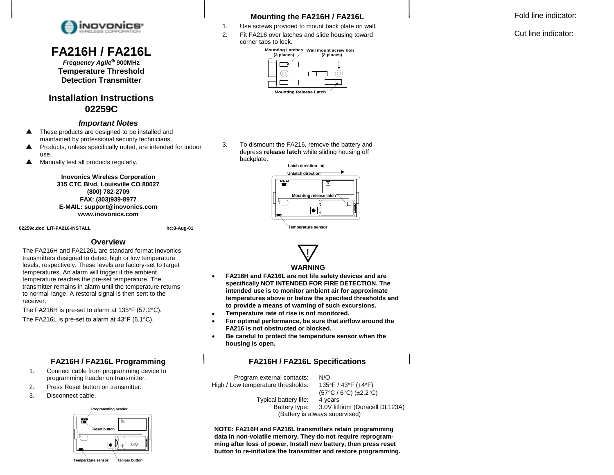

## **FA216H / FA216L**

*Frequency Agile*! **900MHz Temperature Threshold Detection Transmitter** 

### **Installation Instructions 02259C**

#### *Important Notes*

- $\blacktriangle$  These products are designed to be installed and maintained by professional security technicians.
- $\blacktriangle$  Products, unless specifically noted, are intended for indoor use.
- **A** Manually test all products regularly.

**Inovonics Wireless Corporation 315 CTC Blvd, Louisville CO 80027 (800) 782-2709 FAX: (303)939-8977 E-MAIL: support@inovonics.com www.inovonics.com** 

02259c.doc LIT-FA216-INSTALL **https://www.facebook.com/internal/internal/internal/internal/internal/internal/internal/internal/internal/internal/internal/internal/internal/internal/internal/internal/internal/internal/inter** 

#### **Overview**

The FA216H and FA2126L are standard format Inovonics transmitters designed to detect high or low temperature levels, respectively. These levels are factory-set to target temperatures. An alarm will trigger if the ambient temperature reaches the pre-set temperature. The transmitter remains in alarm until the temperature returns to normal range. A restoral signal is then sent to the receiver.

The FA216H is pre-set to alarm at  $135^{\circ}$ F (57.2 $^{\circ}$ C). The FA216L is pre-set to alarm at  $43^{\circ}F$  (6.1 $^{\circ}C$ ).

#### **FA216H / FA216L Programming**

- 1. Connect cable from programming device to programming header on transmitter.
- 2. Press Reset button on transmitter.
- 3. Disconnect cable.



#### **Tamper button Temperature sensor**

#### **Mounting the FA216H / FA216L**

- 1. Use screws provided to mount back plate on wall.
- 2. Fit FA216 over latches and slide housing toward corner tabs to lock.



3. To dismount the FA216, remove the battery and depress **release latch** while sliding housing off backplate.





#### **WARNING**

- $\bullet$  **FA216H and FA216L are not life safety devices and are specifically NOT INTENDED FOR FIRE DETECTION. The intended use is to monitor ambient air for approximate temperatures above or below the specified thresholds and to provide a means of warning of such excursions.**
- $\bullet$ **Temperature rate of rise is not monitored.**
- $\bullet$  **For optimal performance, be sure that airflow around the FA216 is not obstructed or blocked.**
- $\bullet$  **Be careful to protect the temperature sensor when the housing is open.**

#### **FA216H / FA216L Specifications**

 Program external contacts: N/O High / Low temperature thresholds:  $135^{\circ}F / 43^{\circ}F (\pm 4^{\circ}F)$  $(57^{\circ}C / 6^{\circ}C)$  ( $\pm$ 2.2°C)<br>4 years Typical battery life: Battery type: 3.0V lithium (Duracell DL123A) (Battery is always supervised)

**NOTE: FA216H and FA216L transmitters retain programming data in non-volatile memory. They do not require reprogramming after loss of power. Install new battery, then press reset button to re-initialize the transmitter and restore programming.** Fold line indicator:

Cut line indicator: